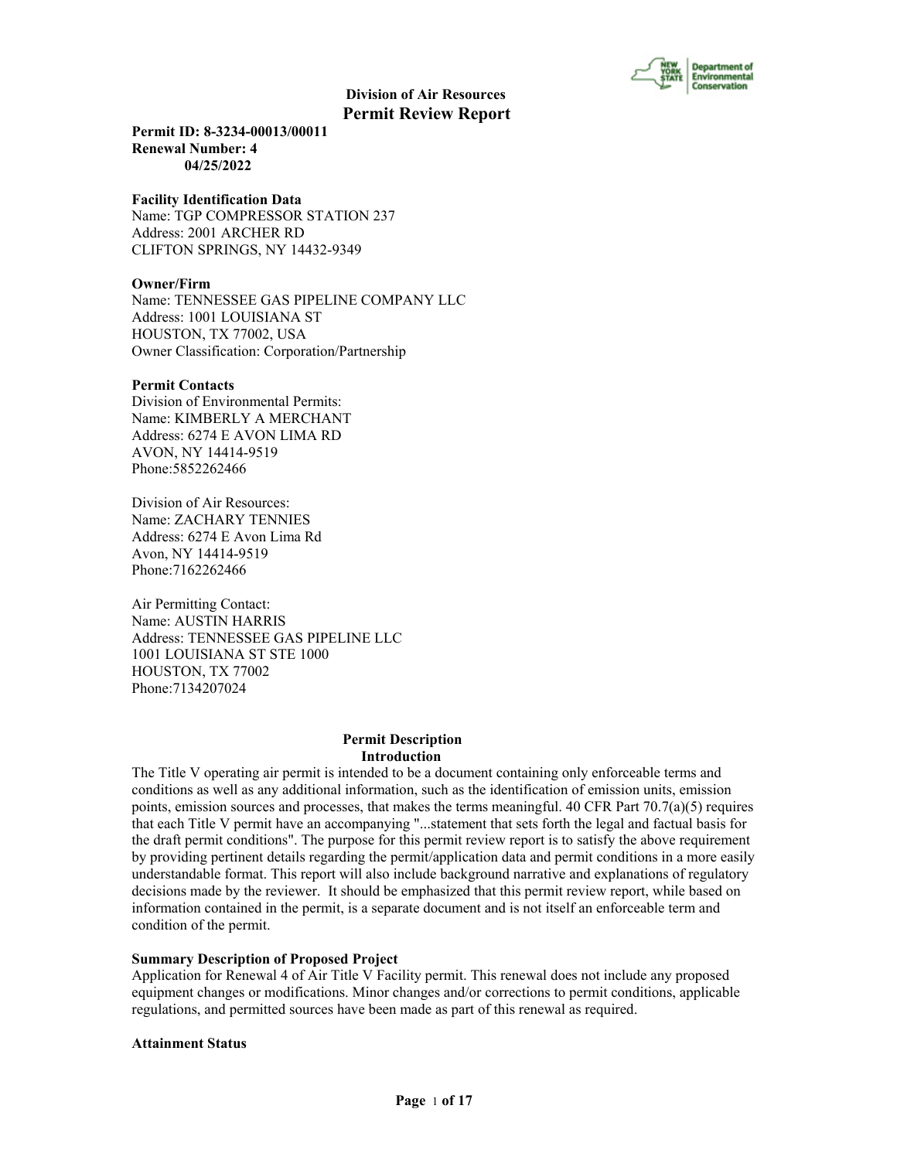

**Permit ID: 8-3234-00013/00011 Renewal Number: 4 04/25/2022**

#### **Facility Identification Data**

Name: TGP COMPRESSOR STATION 237 Address: 2001 ARCHER RD CLIFTON SPRINGS, NY 14432-9349

#### **Owner/Firm**

Name: TENNESSEE GAS PIPELINE COMPANY LLC Address: 1001 LOUISIANA ST HOUSTON, TX 77002, USA Owner Classification: Corporation/Partnership

#### **Permit Contacts**

Division of Environmental Permits: Name: KIMBERLY A MERCHANT Address: 6274 E AVON LIMA RD AVON, NY 14414-9519 Phone:5852262466

Division of Air Resources: Name: ZACHARY TENNIES Address: 6274 E Avon Lima Rd Avon, NY 14414-9519 Phone:7162262466

Air Permitting Contact: Name: AUSTIN HARRIS Address: TENNESSEE GAS PIPELINE LLC 1001 LOUISIANA ST STE 1000 HOUSTON, TX 77002 Phone:7134207024

#### **Permit Description Introduction**

The Title V operating air permit is intended to be a document containing only enforceable terms and conditions as well as any additional information, such as the identification of emission units, emission points, emission sources and processes, that makes the terms meaningful. 40 CFR Part  $70.7(a)(5)$  requires that each Title V permit have an accompanying "...statement that sets forth the legal and factual basis for the draft permit conditions". The purpose for this permit review report is to satisfy the above requirement by providing pertinent details regarding the permit/application data and permit conditions in a more easily understandable format. This report will also include background narrative and explanations of regulatory decisions made by the reviewer. It should be emphasized that this permit review report, while based on information contained in the permit, is a separate document and is not itself an enforceable term and condition of the permit.

#### **Summary Description of Proposed Project**

Application for Renewal 4 of Air Title V Facility permit. This renewal does not include any proposed equipment changes or modifications. Minor changes and/or corrections to permit conditions, applicable regulations, and permitted sources have been made as part of this renewal as required.

#### **Attainment Status**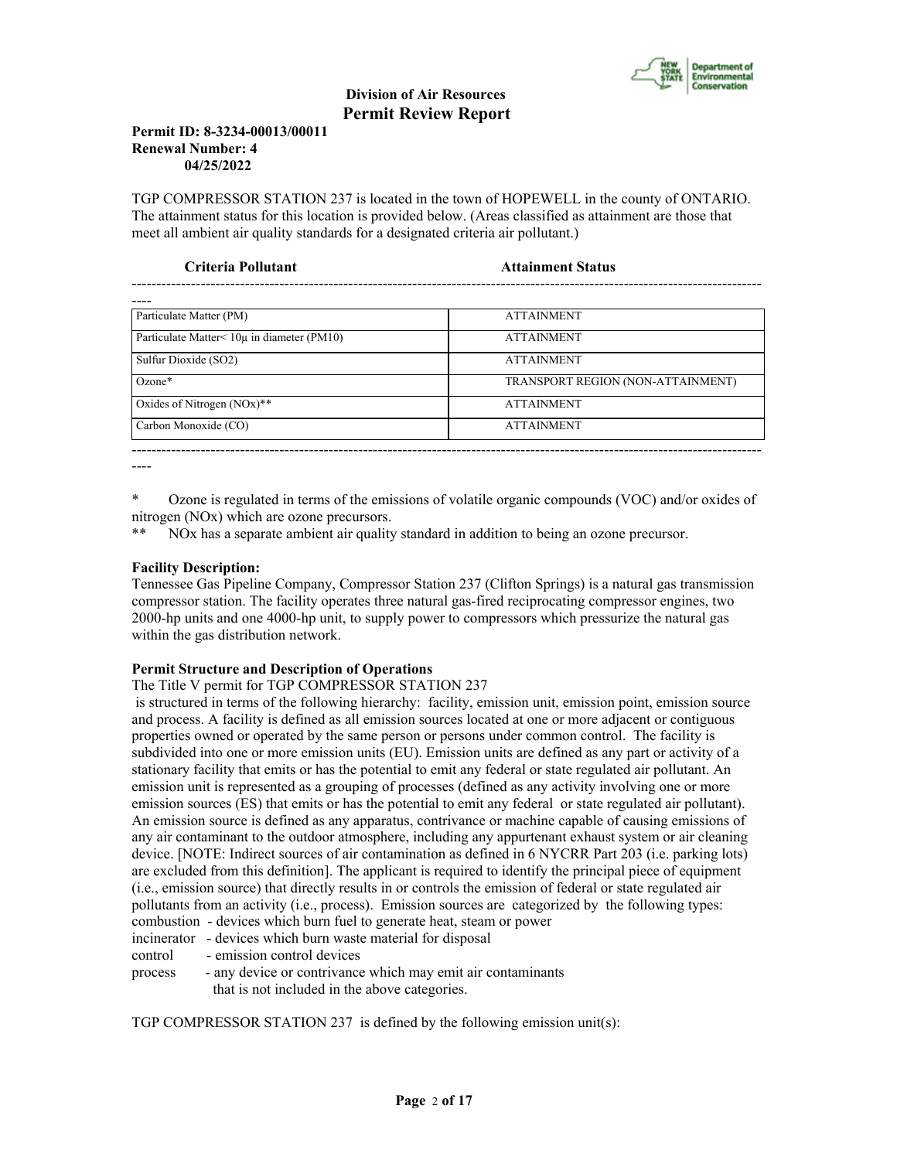

## **Permit ID: 8-3234-00013/00011 Renewal Number: 4 04/25/2022**

TGP COMPRESSOR STATION 237 is located in the town of HOPEWELL in the county of ONTARIO. The attainment status for this location is provided below. (Areas classified as attainment are those that meet all ambient air quality standards for a designated criteria air pollutant.)

| Criteria Pollutant                         | <b>Attainment Status</b>          |  |
|--------------------------------------------|-----------------------------------|--|
|                                            |                                   |  |
| Particulate Matter (PM)                    | <b>ATTAINMENT</b>                 |  |
| Particulate Matter< 10µ in diameter (PM10) | <b>ATTAINMENT</b>                 |  |
| Sulfur Dioxide (SO2)                       | <b>ATTAINMENT</b>                 |  |
| $Ozone*$                                   | TRANSPORT REGION (NON-ATTAINMENT) |  |
| Oxides of Nitrogen $(NOx)$ **              | <b>ATTAINMENT</b>                 |  |
| Carbon Monoxide (CO)                       | <b>ATTAINMENT</b>                 |  |

----

\* Ozone is regulated in terms of the emissions of volatile organic compounds (VOC) and/or oxides of nitrogen (NOx) which are ozone precursors.

\*\* NOx has a separate ambient air quality standard in addition to being an ozone precursor.

# **Facility Description:**

Tennessee Gas Pipeline Company, Compressor Station 237 (Clifton Springs) is a natural gas transmission compressor station. The facility operates three natural gas-fired reciprocating compressor engines, two 2000-hp units and one 4000-hp unit, to supply power to compressors which pressurize the natural gas within the gas distribution network.

# **Permit Structure and Description of Operations**

# The Title V permit for TGP COMPRESSOR STATION 237

 is structured in terms of the following hierarchy: facility, emission unit, emission point, emission source and process. A facility is defined as all emission sources located at one or more adjacent or contiguous properties owned or operated by the same person or persons under common control. The facility is subdivided into one or more emission units (EU). Emission units are defined as any part or activity of a stationary facility that emits or has the potential to emit any federal or state regulated air pollutant. An emission unit is represented as a grouping of processes (defined as any activity involving one or more emission sources (ES) that emits or has the potential to emit any federal or state regulated air pollutant). An emission source is defined as any apparatus, contrivance or machine capable of causing emissions of any air contaminant to the outdoor atmosphere, including any appurtenant exhaust system or air cleaning device. [NOTE: Indirect sources of air contamination as defined in 6 NYCRR Part 203 (i.e. parking lots) are excluded from this definition]. The applicant is required to identify the principal piece of equipment (i.e., emission source) that directly results in or controls the emission of federal or state regulated air pollutants from an activity (i.e., process). Emission sources are categorized by the following types: combustion - devices which burn fuel to generate heat, steam or power

incinerator - devices which burn waste material for disposal

control - emission control devices

process - any device or contrivance which may emit air contaminants that is not included in the above categories.

TGP COMPRESSOR STATION 237 is defined by the following emission unit(s):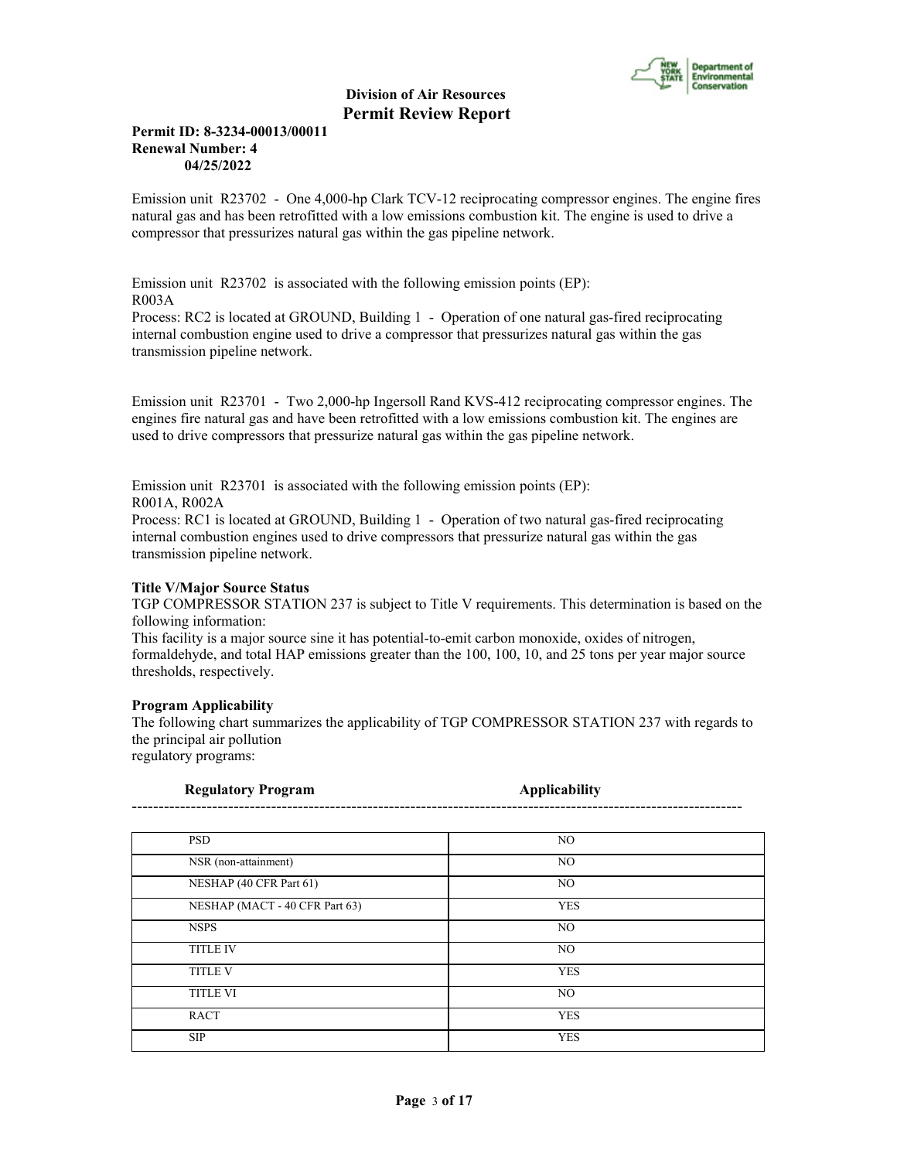

# **Permit ID: 8-3234-00013/00011 Renewal Number: 4 04/25/2022**

Emission unit R23702 - One 4,000-hp Clark TCV-12 reciprocating compressor engines. The engine fires natural gas and has been retrofitted with a low emissions combustion kit. The engine is used to drive a compressor that pressurizes natural gas within the gas pipeline network.

Emission unit R23702 is associated with the following emission points (EP): R003A

Process: RC2 is located at GROUND, Building 1 - Operation of one natural gas-fired reciprocating internal combustion engine used to drive a compressor that pressurizes natural gas within the gas transmission pipeline network.

Emission unit R23701 - Two 2,000-hp Ingersoll Rand KVS-412 reciprocating compressor engines. The engines fire natural gas and have been retrofitted with a low emissions combustion kit. The engines are used to drive compressors that pressurize natural gas within the gas pipeline network.

Emission unit R23701 is associated with the following emission points (EP): R001A, R002A

Process: RC1 is located at GROUND, Building 1 - Operation of two natural gas-fired reciprocating internal combustion engines used to drive compressors that pressurize natural gas within the gas transmission pipeline network.

# **Title V/Major Source Status**

TGP COMPRESSOR STATION 237 is subject to Title V requirements. This determination is based on the following information:

This facility is a major source sine it has potential-to-emit carbon monoxide, oxides of nitrogen, formaldehyde, and total HAP emissions greater than the 100, 100, 10, and 25 tons per year major source thresholds, respectively.

#### **Program Applicability**

The following chart summarizes the applicability of TGP COMPRESSOR STATION 237 with regards to the principal air pollution

regulatory programs:

| <b>Regulatory Program</b>      | <b>Applicability</b> |
|--------------------------------|----------------------|
|                                |                      |
| <b>PSD</b>                     | NO                   |
| NSR (non-attainment)           | NO                   |
| NESHAP (40 CFR Part 61)        | NO                   |
| NESHAP (MACT - 40 CFR Part 63) | <b>YES</b>           |
| <b>NSPS</b>                    | NO.                  |
| <b>TITLE IV</b>                | NO                   |
| <b>TITLE V</b>                 | <b>YES</b>           |
| <b>TITLE VI</b>                | N <sub>O</sub>       |
| <b>RACT</b>                    | <b>YES</b>           |
| <b>SIP</b>                     | <b>YES</b>           |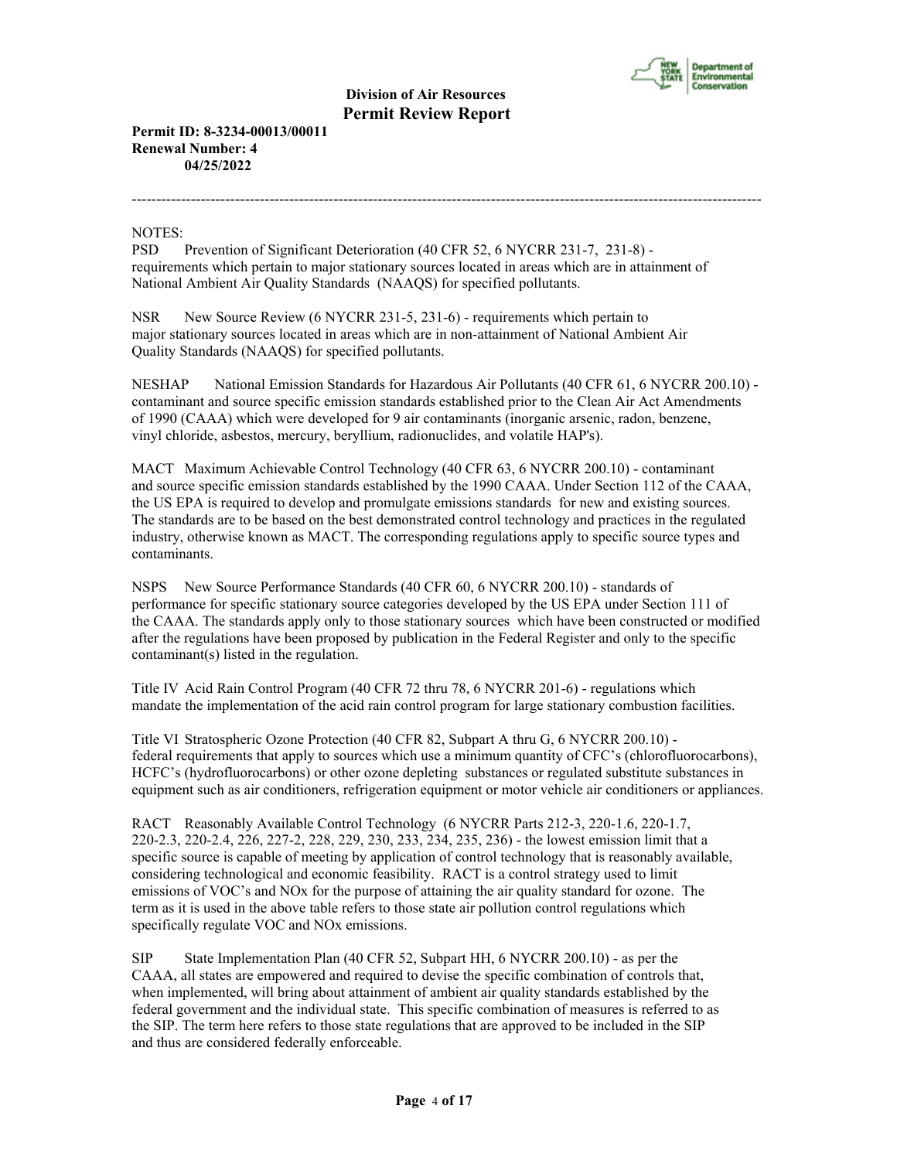

--------------------------------------------------------------------------------------------------------------------------------

**Permit ID: 8-3234-00013/00011 Renewal Number: 4 04/25/2022**

NOTES:

PSD Prevention of Significant Deterioration (40 CFR 52, 6 NYCRR 231-7, 231-8) requirements which pertain to major stationary sources located in areas which are in attainment of National Ambient Air Quality Standards (NAAQS) for specified pollutants.

NSR New Source Review (6 NYCRR 231-5, 231-6) - requirements which pertain to major stationary sources located in areas which are in non-attainment of National Ambient Air Quality Standards (NAAQS) for specified pollutants.

NESHAP National Emission Standards for Hazardous Air Pollutants (40 CFR 61, 6 NYCRR 200.10) contaminant and source specific emission standards established prior to the Clean Air Act Amendments of 1990 (CAAA) which were developed for 9 air contaminants (inorganic arsenic, radon, benzene, vinyl chloride, asbestos, mercury, beryllium, radionuclides, and volatile HAP's).

MACT Maximum Achievable Control Technology (40 CFR 63, 6 NYCRR 200.10) - contaminant and source specific emission standards established by the 1990 CAAA. Under Section 112 of the CAAA, the US EPA is required to develop and promulgate emissions standards for new and existing sources. The standards are to be based on the best demonstrated control technology and practices in the regulated industry, otherwise known as MACT. The corresponding regulations apply to specific source types and contaminants.

NSPS New Source Performance Standards (40 CFR 60, 6 NYCRR 200.10) - standards of performance for specific stationary source categories developed by the US EPA under Section 111 of the CAAA. The standards apply only to those stationary sources which have been constructed or modified after the regulations have been proposed by publication in the Federal Register and only to the specific contaminant(s) listed in the regulation.

Title IV Acid Rain Control Program (40 CFR 72 thru 78, 6 NYCRR 201-6) - regulations which mandate the implementation of the acid rain control program for large stationary combustion facilities.

Title VI Stratospheric Ozone Protection (40 CFR 82, Subpart A thru G, 6 NYCRR 200.10) federal requirements that apply to sources which use a minimum quantity of CFC's (chlorofluorocarbons), HCFC's (hydrofluorocarbons) or other ozone depleting substances or regulated substitute substances in equipment such as air conditioners, refrigeration equipment or motor vehicle air conditioners or appliances.

RACT Reasonably Available Control Technology (6 NYCRR Parts 212-3, 220-1.6, 220-1.7, 220-2.3, 220-2.4, 226, 227-2, 228, 229, 230, 233, 234, 235, 236) - the lowest emission limit that a specific source is capable of meeting by application of control technology that is reasonably available, considering technological and economic feasibility. RACT is a control strategy used to limit emissions of VOC's and NOx for the purpose of attaining the air quality standard for ozone. The term as it is used in the above table refers to those state air pollution control regulations which specifically regulate VOC and NOx emissions.

SIP State Implementation Plan (40 CFR 52, Subpart HH, 6 NYCRR 200.10) - as per the CAAA, all states are empowered and required to devise the specific combination of controls that, when implemented, will bring about attainment of ambient air quality standards established by the federal government and the individual state. This specific combination of measures is referred to as the SIP. The term here refers to those state regulations that are approved to be included in the SIP and thus are considered federally enforceable.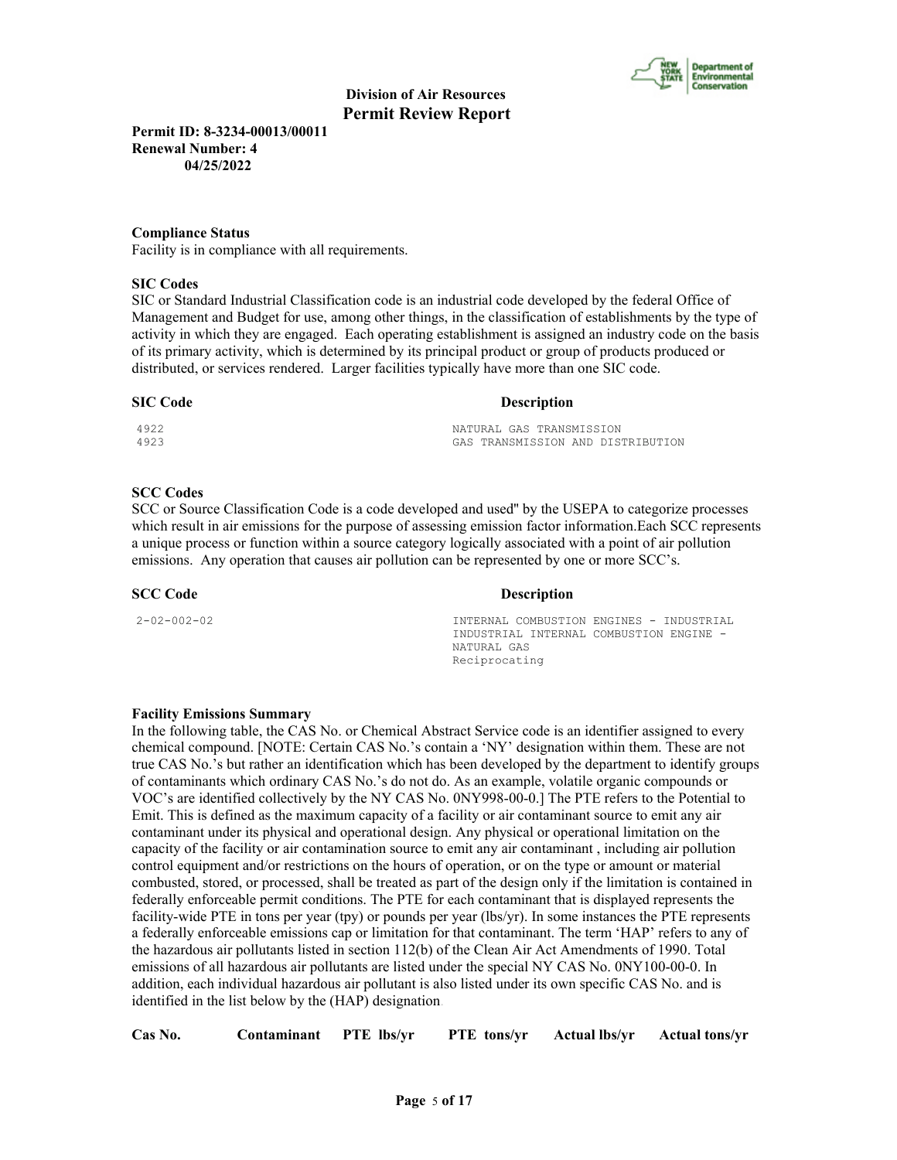

**Permit ID: 8-3234-00013/00011 Renewal Number: 4 04/25/2022**

#### **Compliance Status**

Facility is in compliance with all requirements.

#### **SIC Codes**

SIC or Standard Industrial Classification code is an industrial code developed by the federal Office of Management and Budget for use, among other things, in the classification of establishments by the type of activity in which they are engaged. Each operating establishment is assigned an industry code on the basis of its primary activity, which is determined by its principal product or group of products produced or distributed, or services rendered. Larger facilities typically have more than one SIC code.

#### **SIC Code Description**

| 4922 | NATURAL GAS TRANSMISSION          |
|------|-----------------------------------|
| 4923 | GAS TRANSMISSION AND DISTRIBUTION |

#### **SCC Codes**

SCC or Source Classification Code is a code developed and used'' by the USEPA to categorize processes which result in air emissions for the purpose of assessing emission factor information.Each SCC represents a unique process or function within a source category logically associated with a point of air pollution emissions. Any operation that causes air pollution can be represented by one or more SCC's.

**SCC Code Description** 

2-02-002-02 INTERNAL COMBUSTION ENGINES - INDUSTRIAL INDUSTRIAL INTERNAL COMBUSTION ENGINE - NATURAL GAS Reciprocating

#### **Facility Emissions Summary**

In the following table, the CAS No. or Chemical Abstract Service code is an identifier assigned to every chemical compound. [NOTE: Certain CAS No.'s contain a 'NY' designation within them. These are not true CAS No.'s but rather an identification which has been developed by the department to identify groups of contaminants which ordinary CAS No.'s do not do. As an example, volatile organic compounds or VOC's are identified collectively by the NY CAS No. 0NY998-00-0.] The PTE refers to the Potential to Emit. This is defined as the maximum capacity of a facility or air contaminant source to emit any air contaminant under its physical and operational design. Any physical or operational limitation on the capacity of the facility or air contamination source to emit any air contaminant , including air pollution control equipment and/or restrictions on the hours of operation, or on the type or amount or material combusted, stored, or processed, shall be treated as part of the design only if the limitation is contained in federally enforceable permit conditions. The PTE for each contaminant that is displayed represents the facility-wide PTE in tons per year (tpy) or pounds per year (lbs/yr). In some instances the PTE represents a federally enforceable emissions cap or limitation for that contaminant. The term 'HAP' refers to any of the hazardous air pollutants listed in section 112(b) of the Clean Air Act Amendments of 1990. Total emissions of all hazardous air pollutants are listed under the special NY CAS No. 0NY100-00-0. In addition, each individual hazardous air pollutant is also listed under its own specific CAS No. and is identified in the list below by the (HAP) designation.

|  | Cas No. | Contaminant PTE lbs/yr |  | PTE tons/yr | Actual lbs/yr | <b>Actual tons/yr</b> |
|--|---------|------------------------|--|-------------|---------------|-----------------------|
|--|---------|------------------------|--|-------------|---------------|-----------------------|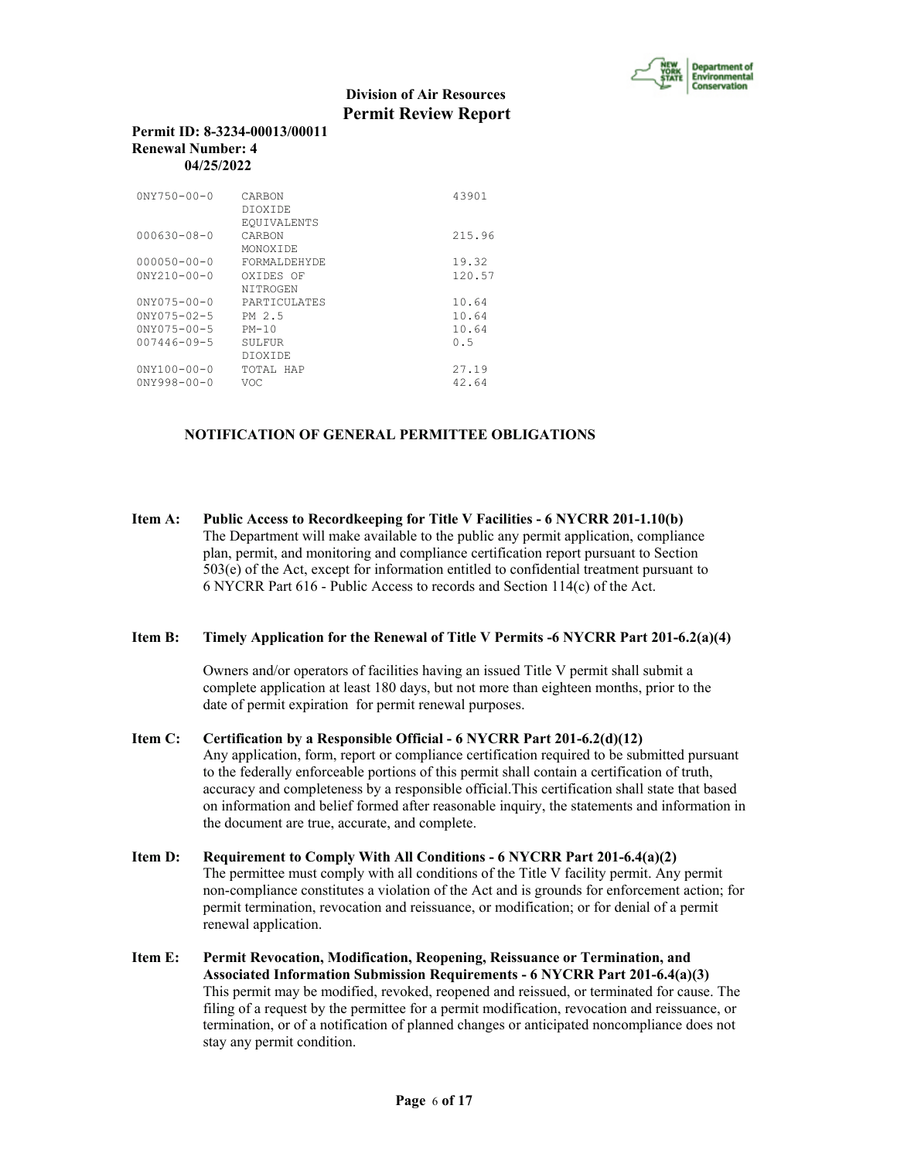

#### **Permit ID: 8-3234-00013/00011 Renewal Number: 4 04/25/2022**

| $0NY750 - 00 - 0$  | CARBON<br>DTOXTDE.<br>EQUIVALENTS | 43901  |
|--------------------|-----------------------------------|--------|
| $000630 - 08 - 0$  | CARBON<br>MONOXTDE                | 215.96 |
| $000050 - 00 - 0$  | FORMALDEHYDE                      | 19.32  |
| $0NY210 - 00 - 0$  | OXIDES OF<br>NITROGEN             | 120.57 |
| $0NY075 - 00 - 0$  | PARTICULATES                      | 10.64  |
| $0NY075 - 02 - 5$  | PM 2.5                            | 10.64  |
| $0NY075 - 00 - 5$  | $PM-10$                           | 10.64  |
| $007446 - 09 - 5$  | SULFUR                            | 0.5    |
|                    | DTOXTDE                           |        |
| $0'NY100 - 00 - 0$ | TOTAL HAP                         | 27.19  |
| $0NY998 - 00 - 0$  | VOC                               | 42.64  |

# **NOTIFICATION OF GENERAL PERMITTEE OBLIGATIONS**

**Item A: Public Access to Recordkeeping for Title V Facilities - 6 NYCRR 201-1.10(b)** The Department will make available to the public any permit application, compliance plan, permit, and monitoring and compliance certification report pursuant to Section 503(e) of the Act, except for information entitled to confidential treatment pursuant to 6 NYCRR Part 616 - Public Access to records and Section 114(c) of the Act.

#### **Item B: Timely Application for the Renewal of Title V Permits -6 NYCRR Part 201-6.2(a)(4)**

 Owners and/or operators of facilities having an issued Title V permit shall submit a complete application at least 180 days, but not more than eighteen months, prior to the date of permit expiration for permit renewal purposes.

- **Item C: Certification by a Responsible Official 6 NYCRR Part 201-6.2(d)(12)** Any application, form, report or compliance certification required to be submitted pursuant to the federally enforceable portions of this permit shall contain a certification of truth, accuracy and completeness by a responsible official.This certification shall state that based on information and belief formed after reasonable inquiry, the statements and information in the document are true, accurate, and complete.
- **Item D: Requirement to Comply With All Conditions 6 NYCRR Part 201-6.4(a)(2)** The permittee must comply with all conditions of the Title V facility permit. Any permit non-compliance constitutes a violation of the Act and is grounds for enforcement action; for permit termination, revocation and reissuance, or modification; or for denial of a permit renewal application.
- **Item E: Permit Revocation, Modification, Reopening, Reissuance or Termination, and Associated Information Submission Requirements - 6 NYCRR Part 201-6.4(a)(3)** This permit may be modified, revoked, reopened and reissued, or terminated for cause. The filing of a request by the permittee for a permit modification, revocation and reissuance, or termination, or of a notification of planned changes or anticipated noncompliance does not stay any permit condition.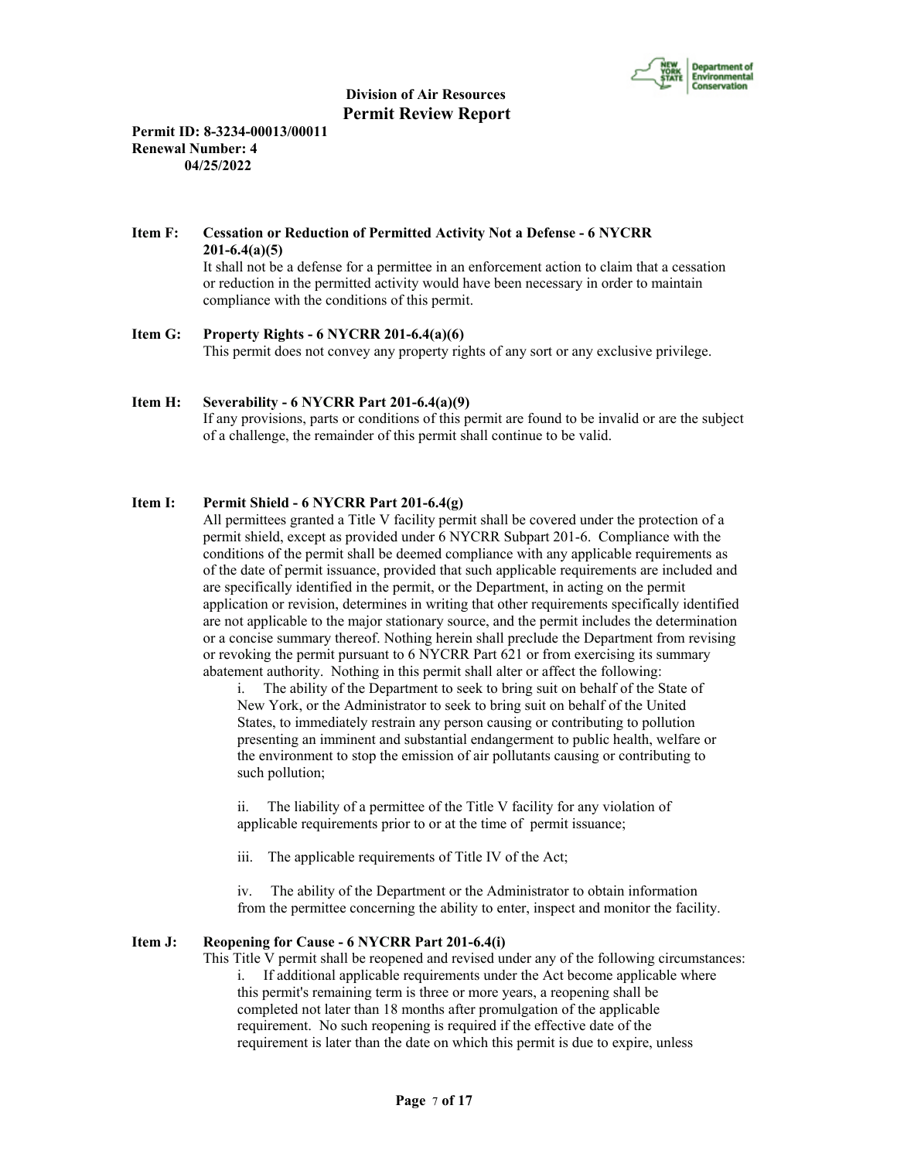

**Permit ID: 8-3234-00013/00011 Renewal Number: 4 04/25/2022**

# **Item F: Cessation or Reduction of Permitted Activity Not a Defense - 6 NYCRR 201-6.4(a)(5)**

 It shall not be a defense for a permittee in an enforcement action to claim that a cessation or reduction in the permitted activity would have been necessary in order to maintain compliance with the conditions of this permit.

# **Item G: Property Rights - 6 NYCRR 201-6.4(a)(6)**

This permit does not convey any property rights of any sort or any exclusive privilege.

# **Item H: Severability - 6 NYCRR Part 201-6.4(a)(9)**

 If any provisions, parts or conditions of this permit are found to be invalid or are the subject of a challenge, the remainder of this permit shall continue to be valid.

# **Item I: Permit Shield - 6 NYCRR Part 201-6.4(g)**

 All permittees granted a Title V facility permit shall be covered under the protection of a permit shield, except as provided under 6 NYCRR Subpart 201-6. Compliance with the conditions of the permit shall be deemed compliance with any applicable requirements as of the date of permit issuance, provided that such applicable requirements are included and are specifically identified in the permit, or the Department, in acting on the permit application or revision, determines in writing that other requirements specifically identified are not applicable to the major stationary source, and the permit includes the determination or a concise summary thereof. Nothing herein shall preclude the Department from revising or revoking the permit pursuant to 6 NYCRR Part 621 or from exercising its summary abatement authority. Nothing in this permit shall alter or affect the following:

i. The ability of the Department to seek to bring suit on behalf of the State of New York, or the Administrator to seek to bring suit on behalf of the United States, to immediately restrain any person causing or contributing to pollution presenting an imminent and substantial endangerment to public health, welfare or the environment to stop the emission of air pollutants causing or contributing to such pollution;

ii. The liability of a permittee of the Title V facility for any violation of applicable requirements prior to or at the time of permit issuance;

iii. The applicable requirements of Title IV of the Act;

iv. The ability of the Department or the Administrator to obtain information from the permittee concerning the ability to enter, inspect and monitor the facility.

#### **Item J: Reopening for Cause - 6 NYCRR Part 201-6.4(i)**

 This Title V permit shall be reopened and revised under any of the following circumstances: i. If additional applicable requirements under the Act become applicable where this permit's remaining term is three or more years, a reopening shall be completed not later than 18 months after promulgation of the applicable requirement. No such reopening is required if the effective date of the requirement is later than the date on which this permit is due to expire, unless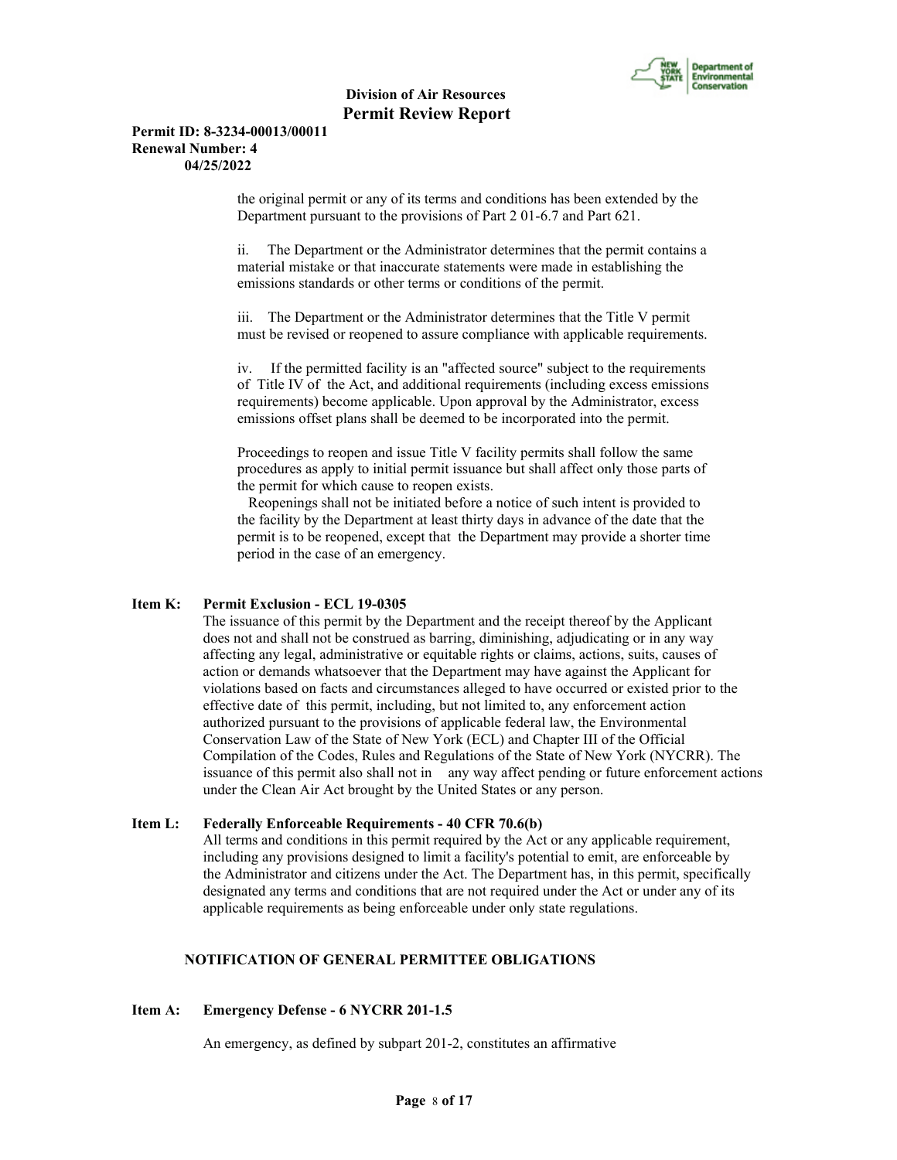

#### **Permit ID: 8-3234-00013/00011 Renewal Number: 4 04/25/2022**

the original permit or any of its terms and conditions has been extended by the Department pursuant to the provisions of Part 2 01-6.7 and Part 621.

ii. The Department or the Administrator determines that the permit contains a material mistake or that inaccurate statements were made in establishing the emissions standards or other terms or conditions of the permit.

iii. The Department or the Administrator determines that the Title V permit must be revised or reopened to assure compliance with applicable requirements.

iv. If the permitted facility is an "affected source" subject to the requirements of Title IV of the Act, and additional requirements (including excess emissions requirements) become applicable. Upon approval by the Administrator, excess emissions offset plans shall be deemed to be incorporated into the permit.

Proceedings to reopen and issue Title V facility permits shall follow the same procedures as apply to initial permit issuance but shall affect only those parts of the permit for which cause to reopen exists.

 Reopenings shall not be initiated before a notice of such intent is provided to the facility by the Department at least thirty days in advance of the date that the permit is to be reopened, except that the Department may provide a shorter time period in the case of an emergency.

# **Item K: Permit Exclusion - ECL 19-0305**

 The issuance of this permit by the Department and the receipt thereof by the Applicant does not and shall not be construed as barring, diminishing, adjudicating or in any way affecting any legal, administrative or equitable rights or claims, actions, suits, causes of action or demands whatsoever that the Department may have against the Applicant for violations based on facts and circumstances alleged to have occurred or existed prior to the effective date of this permit, including, but not limited to, any enforcement action authorized pursuant to the provisions of applicable federal law, the Environmental Conservation Law of the State of New York (ECL) and Chapter III of the Official Compilation of the Codes, Rules and Regulations of the State of New York (NYCRR). The issuance of this permit also shall not in any way affect pending or future enforcement actions under the Clean Air Act brought by the United States or any person.

#### **Item L: Federally Enforceable Requirements - 40 CFR 70.6(b)**

 All terms and conditions in this permit required by the Act or any applicable requirement, including any provisions designed to limit a facility's potential to emit, are enforceable by the Administrator and citizens under the Act. The Department has, in this permit, specifically designated any terms and conditions that are not required under the Act or under any of its applicable requirements as being enforceable under only state regulations.

# **NOTIFICATION OF GENERAL PERMITTEE OBLIGATIONS**

#### **Item A: Emergency Defense - 6 NYCRR 201-1.5**

An emergency, as defined by subpart 201-2, constitutes an affirmative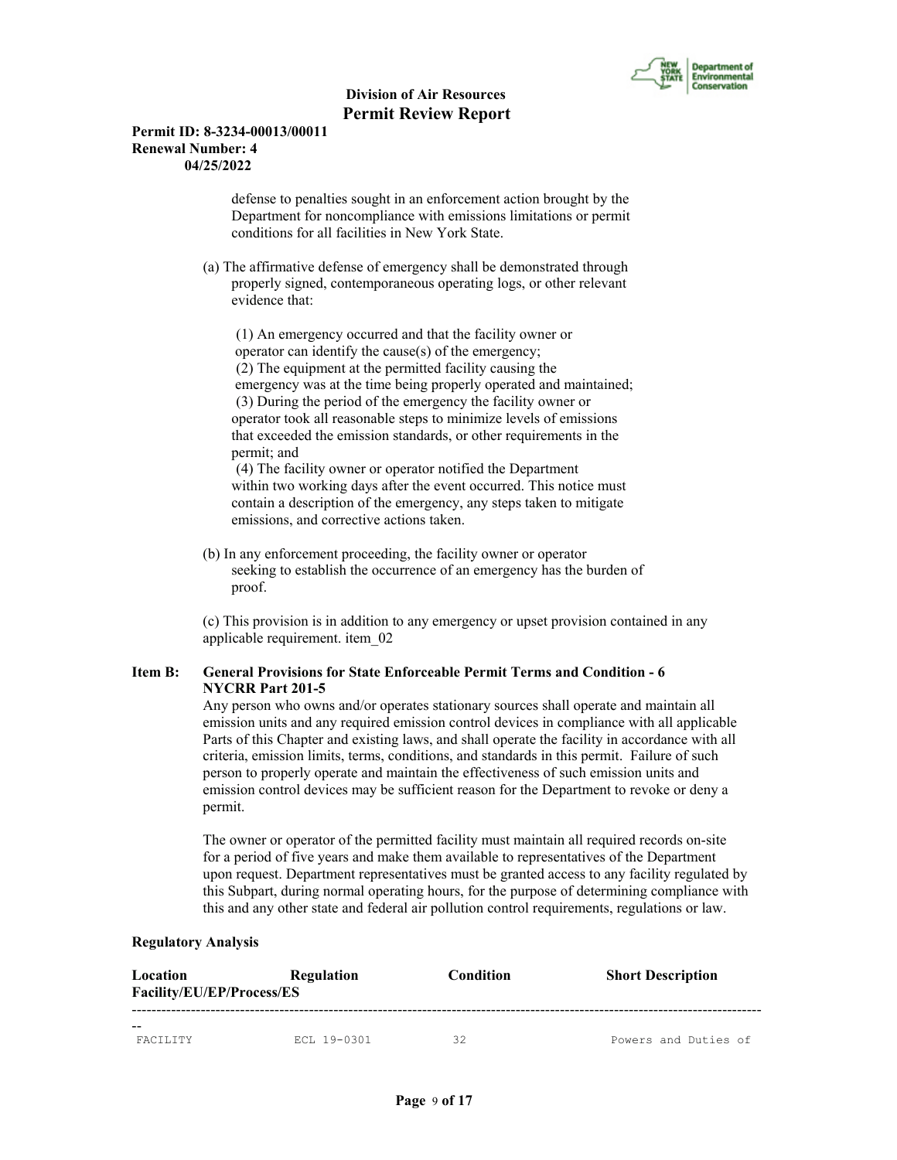

### **Permit ID: 8-3234-00013/00011 Renewal Number: 4 04/25/2022**

 defense to penalties sought in an enforcement action brought by the Department for noncompliance with emissions limitations or permit conditions for all facilities in New York State.

 (a) The affirmative defense of emergency shall be demonstrated through properly signed, contemporaneous operating logs, or other relevant evidence that:

 (1) An emergency occurred and that the facility owner or operator can identify the cause(s) of the emergency; (2) The equipment at the permitted facility causing the emergency was at the time being properly operated and maintained; (3) During the period of the emergency the facility owner or operator took all reasonable steps to minimize levels of emissions that exceeded the emission standards, or other requirements in the permit; and

 (4) The facility owner or operator notified the Department within two working days after the event occurred. This notice must contain a description of the emergency, any steps taken to mitigate emissions, and corrective actions taken.

 (b) In any enforcement proceeding, the facility owner or operator seeking to establish the occurrence of an emergency has the burden of proof.

 (c) This provision is in addition to any emergency or upset provision contained in any applicable requirement. item\_02

# **Item B: General Provisions for State Enforceable Permit Terms and Condition - 6 NYCRR Part 201-5**

 Any person who owns and/or operates stationary sources shall operate and maintain all emission units and any required emission control devices in compliance with all applicable Parts of this Chapter and existing laws, and shall operate the facility in accordance with all criteria, emission limits, terms, conditions, and standards in this permit. Failure of such person to properly operate and maintain the effectiveness of such emission units and emission control devices may be sufficient reason for the Department to revoke or deny a permit.

 The owner or operator of the permitted facility must maintain all required records on-site for a period of five years and make them available to representatives of the Department upon request. Department representatives must be granted access to any facility regulated by this Subpart, during normal operating hours, for the purpose of determining compliance with this and any other state and federal air pollution control requirements, regulations or law.

#### **Regulatory Analysis**

| Location<br><b>Facility/EU/EP/Process/ES</b> | <b>Regulation</b> | <b>Condition</b> | <b>Short Description</b> |
|----------------------------------------------|-------------------|------------------|--------------------------|
| <b>FACTLITY</b>                              | ECL 19-0301       | 32               | Powers and Duties of     |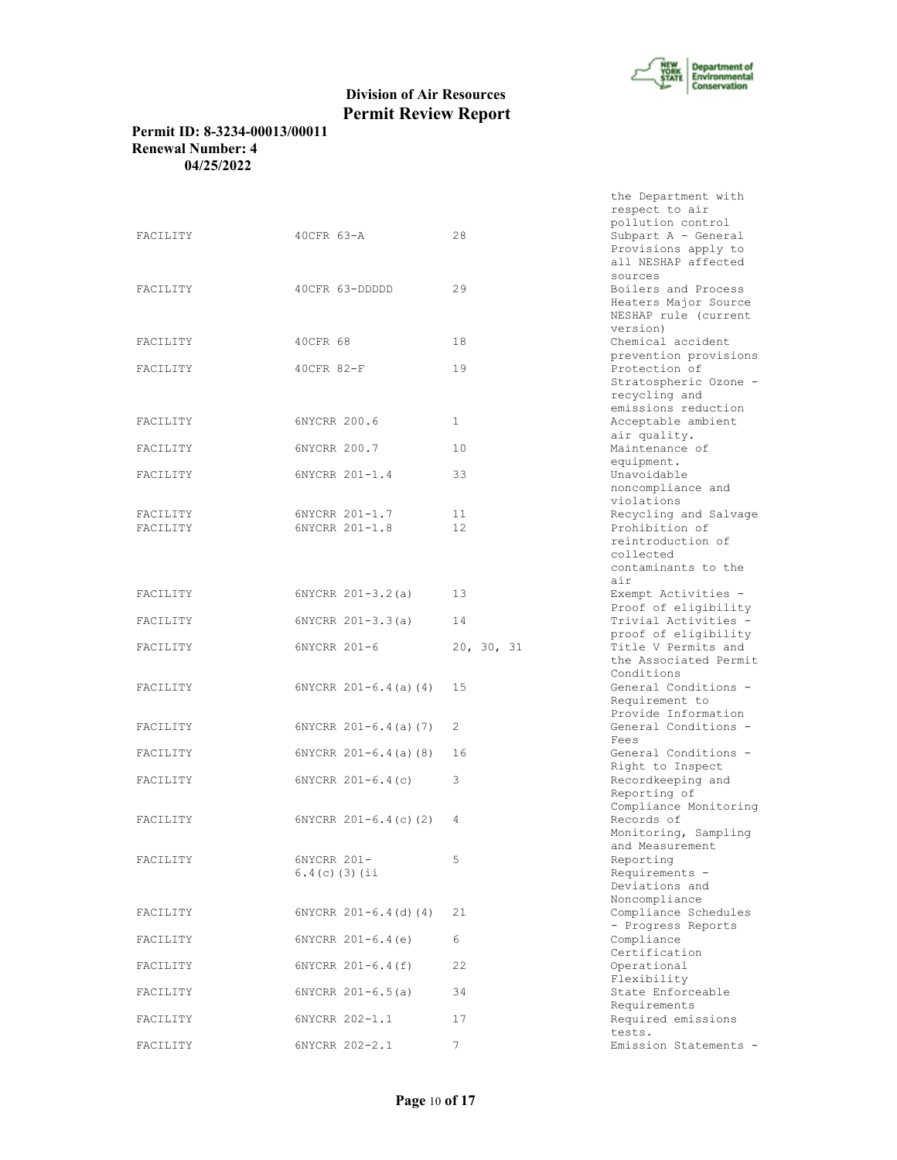

the Department with

# **Division of Air Resources Permit Review Report**

# **Permit ID: 8-3234-00013/00011 Renewal Number: 4 04/25/2022**

|          |                           |              | respect to air                               |
|----------|---------------------------|--------------|----------------------------------------------|
| FACILITY | $40CFR 63-A$              | 28           | pollution control<br>Subpart A - General     |
|          |                           |              | Provisions apply to                          |
|          |                           |              | all NESHAP affected                          |
|          |                           |              | sources                                      |
| FACILITY | 40CFR 63-DDDDD            | 29           | Boilers and Process                          |
|          |                           |              | Heaters Major Source                         |
|          |                           |              | NESHAP rule (current                         |
| FACILITY | 40CFR 68                  | 18           | version)<br>Chemical accident                |
|          |                           |              | prevention provisions                        |
| FACILITY | 40CFR 82-F                | 19           | Protection of                                |
|          |                           |              | Stratospheric Ozone -                        |
|          |                           |              | recycling and                                |
|          |                           |              | emissions reduction                          |
| FACILITY | 6NYCRR 200.6              | $\mathbf{1}$ | Acceptable ambient                           |
|          |                           |              | air quality.                                 |
| FACILITY | 6NYCRR 200.7              | 10           | Maintenance of                               |
|          |                           |              | equipment.                                   |
| FACILITY | 6NYCRR 201-1.4            | 33           | Unavoidable<br>noncompliance and             |
|          |                           |              | violations                                   |
| FACILITY | 6NYCRR 201-1.7            | 11           | Recycling and Salvage                        |
| FACILITY | 6NYCRR 201-1.8            | 12           | Prohibition of                               |
|          |                           |              | reintroduction of                            |
|          |                           |              | collected                                    |
|          |                           |              | contaminants to the                          |
|          |                           |              | air                                          |
| FACILITY | $6NYCRR 201-3.2(a)$       | 13           | Exempt Activities -                          |
|          |                           |              | Proof of eligibility                         |
| FACILITY | $6NYCRR 201-3.3(a)$       | 14           | Trivial Activities -<br>proof of eligibility |
| FACILITY | 6NYCRR 201-6              | 20, 30, 31   | Title V Permits and                          |
|          |                           |              | the Associated Permit                        |
|          |                           |              | Conditions                                   |
| FACILITY | $6NYCRR 201-6.4(a) (4)$   | 15           | General Conditions -                         |
|          |                           |              | Requirement to                               |
|          |                           |              | Provide Information                          |
| FACILITY | $6NYCRR 201-6.4(a) (7)$   | 2            | General Conditions -                         |
|          |                           |              | Fees                                         |
| FACILITY | $6NYCRR 201-6.4(a)$ (8)   | 16           | General Conditions -<br>Right to Inspect     |
| FACILITY | 6NYCRR 201-6.4(c)         | 3            | Recordkeeping and                            |
|          |                           |              | Reporting of                                 |
|          |                           |              | Compliance Monitoring                        |
| FACILITY | $6NYCRR$ $201-6.4(c)$ (2) | 4            | Records of                                   |
|          |                           |              | Monitoring, Sampling                         |
|          |                           |              | and Measurement                              |
| FACILITY | 6NYCRR 201-               | 5            | Reporting                                    |
|          | $6.4(c)$ (3) (ii          |              | Requirements -<br>Deviations and             |
|          |                           |              | Noncompliance                                |
| FACILITY | $6NYCRR 201-6.4 (d) (4)$  | 21           | Compliance Schedules                         |
|          |                           |              | - Progress Reports                           |
| FACILITY | $6NYCRR 201-6.4(e)$       | 6            | Compliance                                   |
|          |                           |              | Certification                                |
| FACILITY | $6NYCRR 201-6.4(f)$       | 22           | Operational                                  |
|          | $6NYCRR 201-6.5(a)$       |              | Flexibility                                  |
| FACILITY |                           | 34           | State Enforceable                            |
|          |                           |              |                                              |
| FACILITY | 6NYCRR 202-1.1            | 17           | Requirements                                 |
|          |                           |              | Required emissions<br>tests.                 |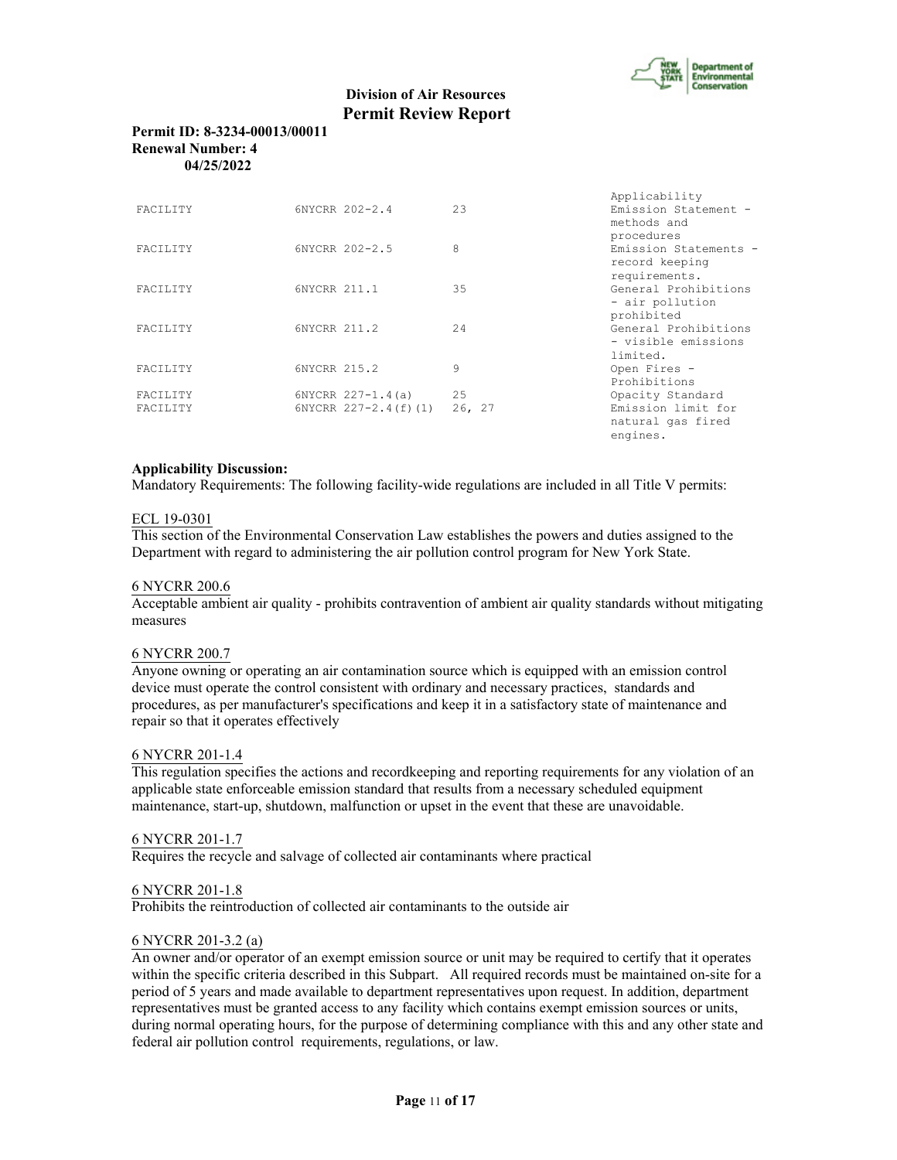

engines.

# **Division of Air Resources Permit Review Report**

# **Permit ID: 8-3234-00013/00011 Renewal Number: 4 04/25/2022**

|                 |                       |        | Applicability         |
|-----------------|-----------------------|--------|-----------------------|
| FACILITY        | 6NYCRR 202-2.4        | 23     | Emission Statement -  |
|                 |                       |        | methods and           |
|                 |                       |        | procedures            |
| <b>FACTLITY</b> | 6NYCRR 202-2.5        | 8      | Emission Statements - |
|                 |                       |        | record keeping        |
|                 |                       |        | requirements.         |
| <b>FACTLITY</b> | 6NYCRR 211.1          | 35     | General Prohibitions  |
|                 |                       |        | - air pollution       |
|                 |                       |        | prohibited            |
| FACTLITY        | 6NYCRR 211.2          | 2.4    | General Prohibitions  |
|                 |                       |        | - visible emissions   |
|                 |                       |        | limited.              |
| <b>FACTLITY</b> | 6NYCRR 215.2          | 9      | Open Fires -          |
|                 |                       |        | Prohibitions          |
| <b>FACTLITY</b> | $6NYCRR 227 - 1.4(a)$ | 25     | Opacity Standard      |
| <b>FACTLITY</b> | 6NYCRR 227-2.4(f)(1)  | 26, 27 | Emission limit for    |
|                 |                       |        | natural gas fired     |

# **Applicability Discussion:**

Mandatory Requirements: The following facility-wide regulations are included in all Title V permits:

#### ECL 19-0301

This section of the Environmental Conservation Law establishes the powers and duties assigned to the Department with regard to administering the air pollution control program for New York State.

#### 6 NYCRR 200.6

Acceptable ambient air quality - prohibits contravention of ambient air quality standards without mitigating measures

#### 6 NYCRR 200.7

Anyone owning or operating an air contamination source which is equipped with an emission control device must operate the control consistent with ordinary and necessary practices, standards and procedures, as per manufacturer's specifications and keep it in a satisfactory state of maintenance and repair so that it operates effectively

#### 6 NYCRR 201-1.4

This regulation specifies the actions and recordkeeping and reporting requirements for any violation of an applicable state enforceable emission standard that results from a necessary scheduled equipment maintenance, start-up, shutdown, malfunction or upset in the event that these are unavoidable.

#### 6 NYCRR 201-1.7

Requires the recycle and salvage of collected air contaminants where practical

#### 6 NYCRR 201-1.8

Prohibits the reintroduction of collected air contaminants to the outside air

### 6 NYCRR 201-3.2 (a)

An owner and/or operator of an exempt emission source or unit may be required to certify that it operates within the specific criteria described in this Subpart. All required records must be maintained on-site for a period of 5 years and made available to department representatives upon request. In addition, department representatives must be granted access to any facility which contains exempt emission sources or units, during normal operating hours, for the purpose of determining compliance with this and any other state and federal air pollution control requirements, regulations, or law.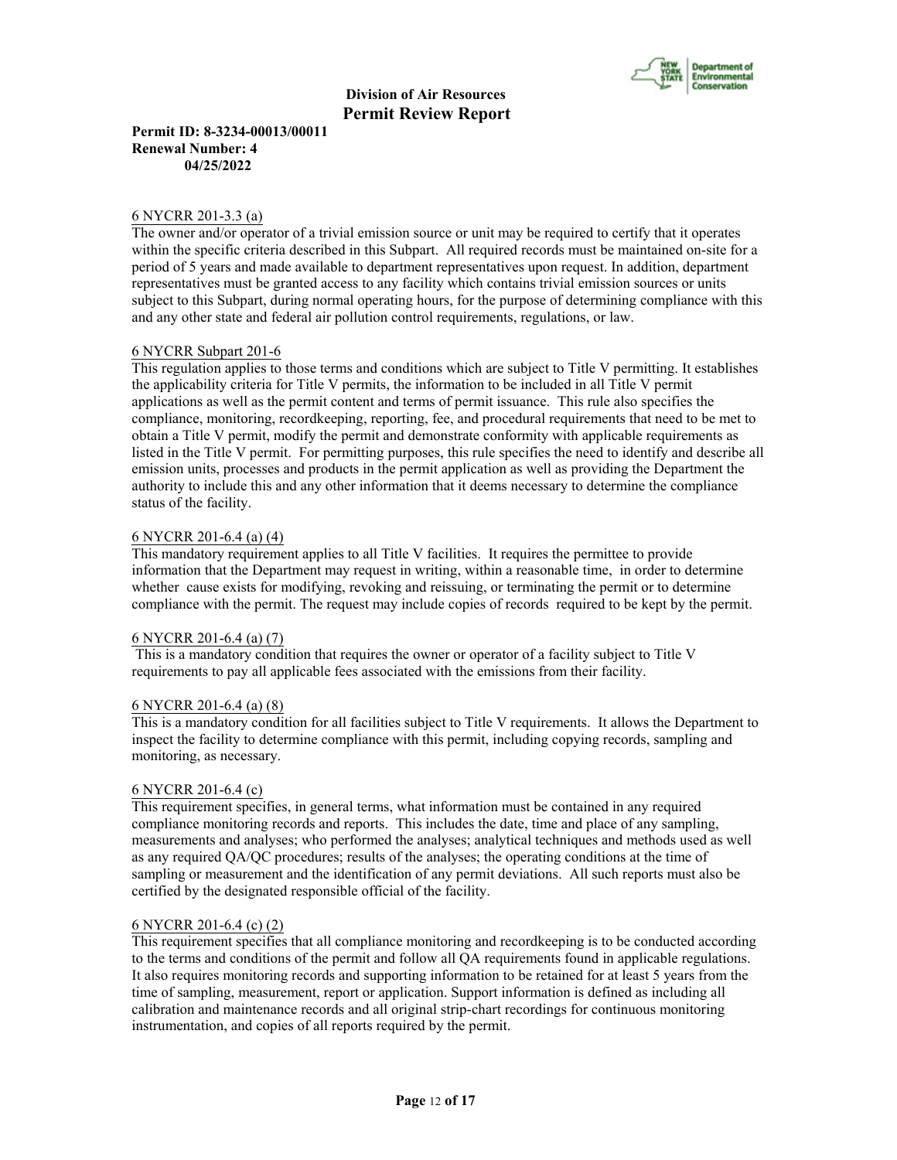

**Permit ID: 8-3234-00013/00011 Renewal Number: 4 04/25/2022**

#### 6 NYCRR 201-3.3 (a)

The owner and/or operator of a trivial emission source or unit may be required to certify that it operates within the specific criteria described in this Subpart. All required records must be maintained on-site for a period of 5 years and made available to department representatives upon request. In addition, department representatives must be granted access to any facility which contains trivial emission sources or units subject to this Subpart, during normal operating hours, for the purpose of determining compliance with this and any other state and federal air pollution control requirements, regulations, or law.

#### 6 NYCRR Subpart 201-6

This regulation applies to those terms and conditions which are subject to Title V permitting. It establishes the applicability criteria for Title V permits, the information to be included in all Title V permit applications as well as the permit content and terms of permit issuance. This rule also specifies the compliance, monitoring, recordkeeping, reporting, fee, and procedural requirements that need to be met to obtain a Title V permit, modify the permit and demonstrate conformity with applicable requirements as listed in the Title V permit. For permitting purposes, this rule specifies the need to identify and describe all emission units, processes and products in the permit application as well as providing the Department the authority to include this and any other information that it deems necessary to determine the compliance status of the facility.

#### 6 NYCRR 201-6.4 (a) (4)

This mandatory requirement applies to all Title V facilities. It requires the permittee to provide information that the Department may request in writing, within a reasonable time, in order to determine whether cause exists for modifying, revoking and reissuing, or terminating the permit or to determine compliance with the permit. The request may include copies of records required to be kept by the permit.

#### 6 NYCRR 201-6.4 (a) (7)

 This is a mandatory condition that requires the owner or operator of a facility subject to Title V requirements to pay all applicable fees associated with the emissions from their facility.

#### 6 NYCRR 201-6.4 (a) (8)

This is a mandatory condition for all facilities subject to Title V requirements. It allows the Department to inspect the facility to determine compliance with this permit, including copying records, sampling and monitoring, as necessary.

#### 6 NYCRR 201-6.4 (c)

This requirement specifies, in general terms, what information must be contained in any required compliance monitoring records and reports. This includes the date, time and place of any sampling, measurements and analyses; who performed the analyses; analytical techniques and methods used as well as any required QA/QC procedures; results of the analyses; the operating conditions at the time of sampling or measurement and the identification of any permit deviations. All such reports must also be certified by the designated responsible official of the facility.

#### 6 NYCRR 201-6.4 (c) (2)

This requirement specifies that all compliance monitoring and recordkeeping is to be conducted according to the terms and conditions of the permit and follow all QA requirements found in applicable regulations. It also requires monitoring records and supporting information to be retained for at least 5 years from the time of sampling, measurement, report or application. Support information is defined as including all calibration and maintenance records and all original strip-chart recordings for continuous monitoring instrumentation, and copies of all reports required by the permit.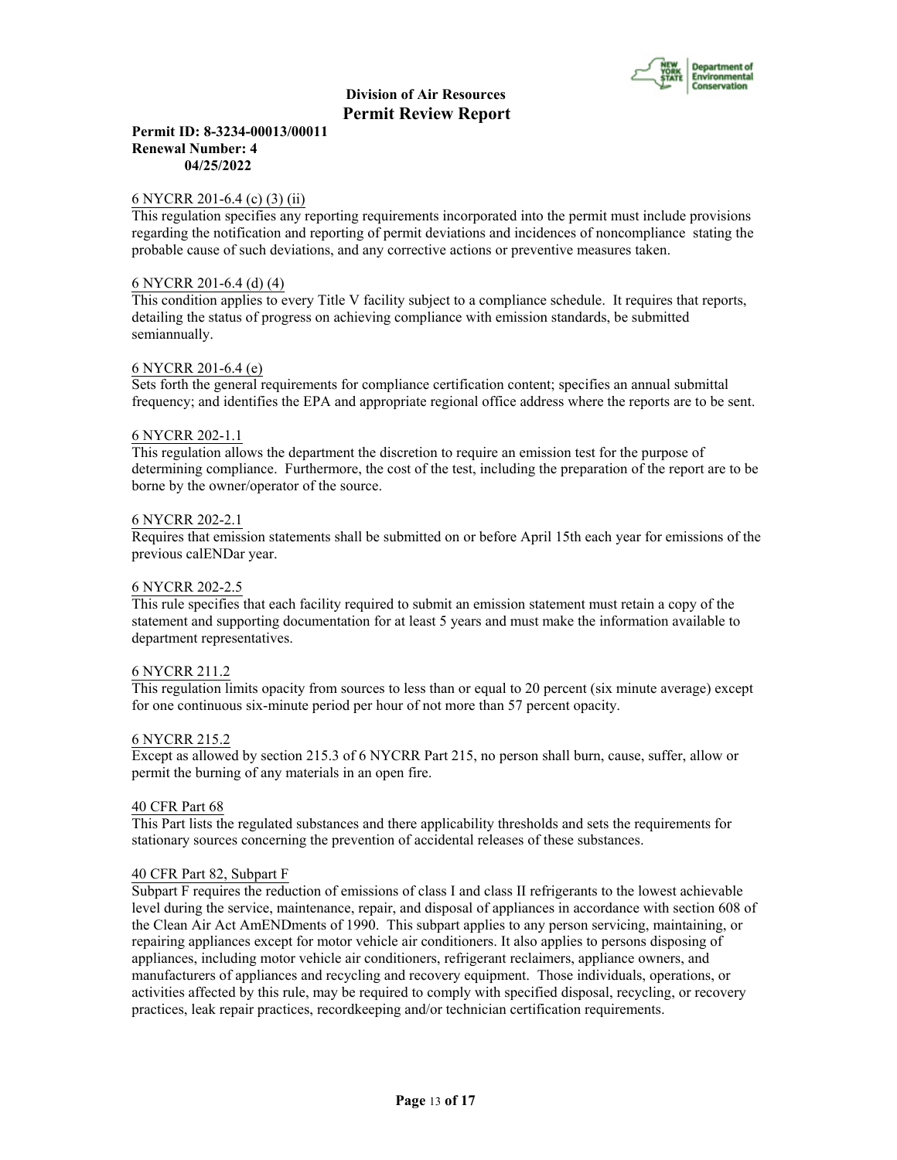

## **Permit ID: 8-3234-00013/00011 Renewal Number: 4 04/25/2022**

## 6 NYCRR 201-6.4 (c) (3) (ii)

This regulation specifies any reporting requirements incorporated into the permit must include provisions regarding the notification and reporting of permit deviations and incidences of noncompliance stating the probable cause of such deviations, and any corrective actions or preventive measures taken.

### 6 NYCRR 201-6.4 (d) (4)

This condition applies to every Title V facility subject to a compliance schedule. It requires that reports, detailing the status of progress on achieving compliance with emission standards, be submitted semiannually.

#### 6 NYCRR 201-6.4 (e)

Sets forth the general requirements for compliance certification content; specifies an annual submittal frequency; and identifies the EPA and appropriate regional office address where the reports are to be sent.

#### 6 NYCRR 202-1.1

This regulation allows the department the discretion to require an emission test for the purpose of determining compliance. Furthermore, the cost of the test, including the preparation of the report are to be borne by the owner/operator of the source.

#### 6 NYCRR 202-2.1

Requires that emission statements shall be submitted on or before April 15th each year for emissions of the previous calENDar year.

#### 6 NYCRR 202-2.5

This rule specifies that each facility required to submit an emission statement must retain a copy of the statement and supporting documentation for at least 5 years and must make the information available to department representatives.

#### 6 NYCRR 211.2

This regulation limits opacity from sources to less than or equal to 20 percent (six minute average) except for one continuous six-minute period per hour of not more than 57 percent opacity.

#### 6 NYCRR 215.2

Except as allowed by section 215.3 of 6 NYCRR Part 215, no person shall burn, cause, suffer, allow or permit the burning of any materials in an open fire.

#### 40 CFR Part 68

This Part lists the regulated substances and there applicability thresholds and sets the requirements for stationary sources concerning the prevention of accidental releases of these substances.

#### 40 CFR Part 82, Subpart F

Subpart F requires the reduction of emissions of class I and class II refrigerants to the lowest achievable level during the service, maintenance, repair, and disposal of appliances in accordance with section 608 of the Clean Air Act AmENDments of 1990. This subpart applies to any person servicing, maintaining, or repairing appliances except for motor vehicle air conditioners. It also applies to persons disposing of appliances, including motor vehicle air conditioners, refrigerant reclaimers, appliance owners, and manufacturers of appliances and recycling and recovery equipment. Those individuals, operations, or activities affected by this rule, may be required to comply with specified disposal, recycling, or recovery practices, leak repair practices, recordkeeping and/or technician certification requirements.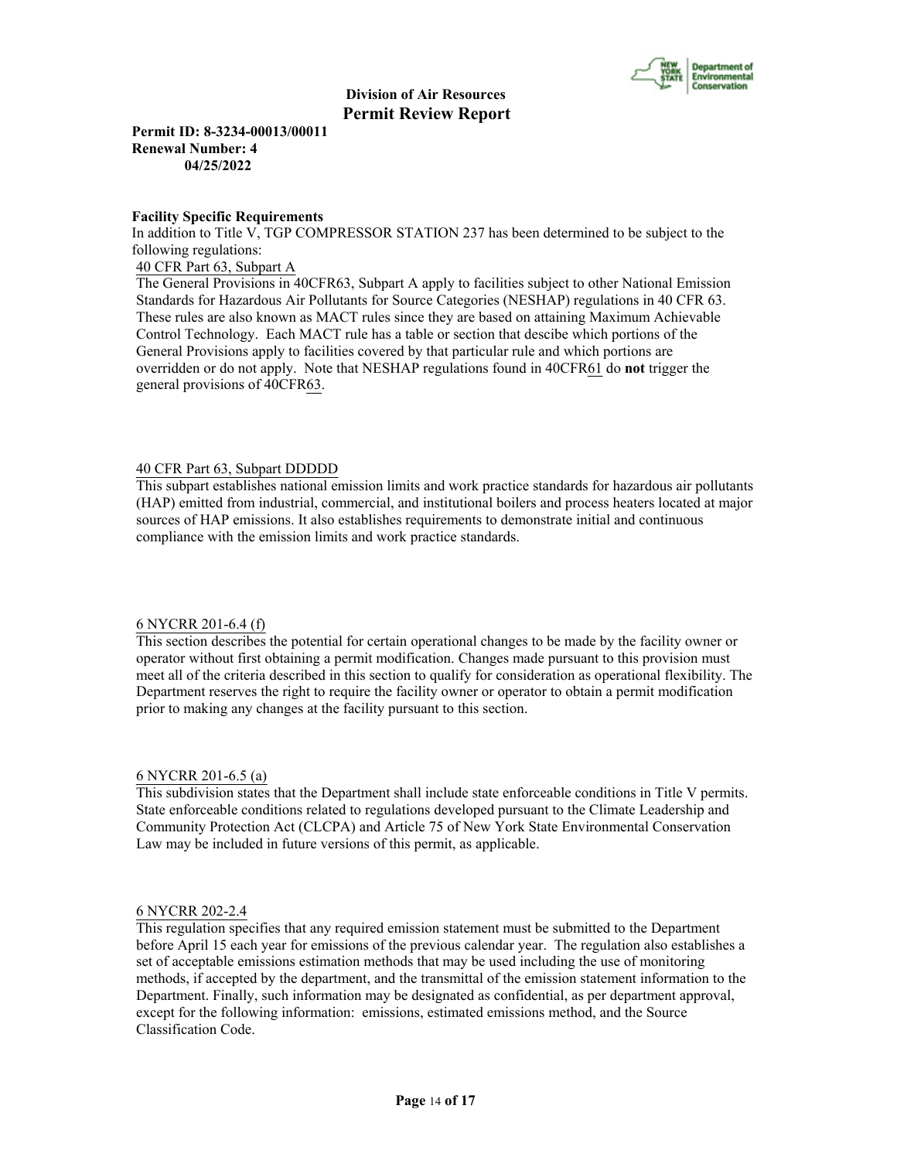

**Permit ID: 8-3234-00013/00011 Renewal Number: 4 04/25/2022**

#### **Facility Specific Requirements**

In addition to Title V, TGP COMPRESSOR STATION 237 has been determined to be subject to the following regulations:

40 CFR Part 63, Subpart A

The General Provisions in 40CFR63, Subpart A apply to facilities subject to other National Emission Standards for Hazardous Air Pollutants for Source Categories (NESHAP) regulations in 40 CFR 63. These rules are also known as MACT rules since they are based on attaining Maximum Achievable Control Technology. Each MACT rule has a table or section that descibe which portions of the General Provisions apply to facilities covered by that particular rule and which portions are overridden or do not apply. Note that NESHAP regulations found in 40CFR61 do **not** trigger the general provisions of 40CFR63.

#### 40 CFR Part 63, Subpart DDDDD

This subpart establishes national emission limits and work practice standards for hazardous air pollutants (HAP) emitted from industrial, commercial, and institutional boilers and process heaters located at major sources of HAP emissions. It also establishes requirements to demonstrate initial and continuous compliance with the emission limits and work practice standards.

#### 6 NYCRR 201-6.4 (f)

This section describes the potential for certain operational changes to be made by the facility owner or operator without first obtaining a permit modification. Changes made pursuant to this provision must meet all of the criteria described in this section to qualify for consideration as operational flexibility. The Department reserves the right to require the facility owner or operator to obtain a permit modification prior to making any changes at the facility pursuant to this section.

#### 6 NYCRR 201-6.5 (a)

This subdivision states that the Department shall include state enforceable conditions in Title V permits. State enforceable conditions related to regulations developed pursuant to the Climate Leadership and Community Protection Act (CLCPA) and Article 75 of New York State Environmental Conservation Law may be included in future versions of this permit, as applicable.

# 6 NYCRR 202-2.4

This regulation specifies that any required emission statement must be submitted to the Department before April 15 each year for emissions of the previous calendar year. The regulation also establishes a set of acceptable emissions estimation methods that may be used including the use of monitoring methods, if accepted by the department, and the transmittal of the emission statement information to the Department. Finally, such information may be designated as confidential, as per department approval, except for the following information: emissions, estimated emissions method, and the Source Classification Code.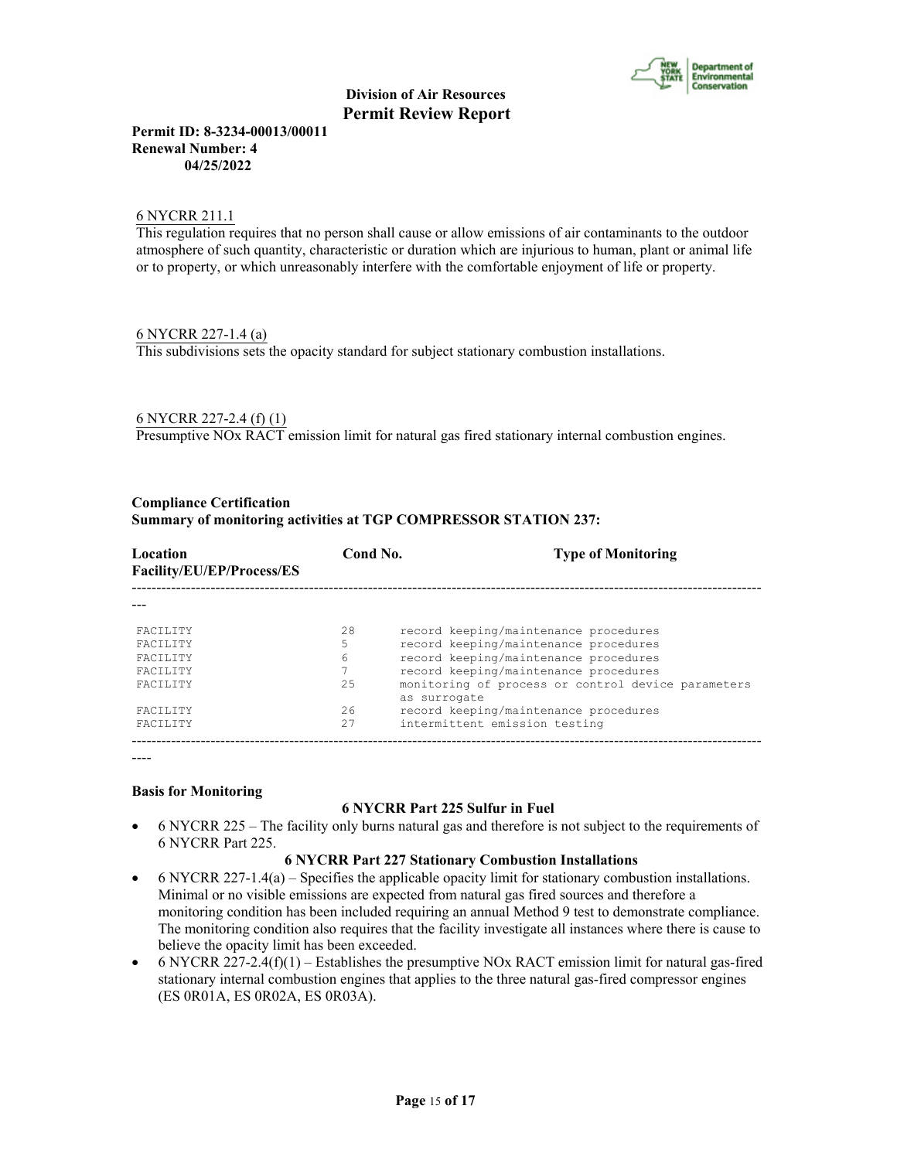

**Permit ID: 8-3234-00013/00011 Renewal Number: 4 04/25/2022**

## 6 NYCRR 211.1

This regulation requires that no person shall cause or allow emissions of air contaminants to the outdoor atmosphere of such quantity, characteristic or duration which are injurious to human, plant or animal life or to property, or which unreasonably interfere with the comfortable enjoyment of life or property.

# 6 NYCRR 227-1.4 (a)

This subdivisions sets the opacity standard for subject stationary combustion installations.

# 6 NYCRR 227-2.4 (f) (1)

Presumptive NOx RACT emission limit for natural gas fired stationary internal combustion engines.

#### **Compliance Certification**

#### **Summary of monitoring activities at TGP COMPRESSOR STATION 237:**

| Location<br>Facility/EU/EP/Process/ES | Cond No. | <b>Type of Monitoring</b>                                          |
|---------------------------------------|----------|--------------------------------------------------------------------|
|                                       |          |                                                                    |
| <b>FACTLITY</b>                       | 2.8      | record keeping/maintenance procedures                              |
| <b>FACTLITY</b>                       | 5        | record keeping/maintenance procedures                              |
| <b>FACTLITY</b>                       | 6        | record keeping/maintenance procedures                              |
| <b>FACTLITY</b>                       |          | record keeping/maintenance procedures                              |
| <b>FACTLITY</b>                       | 2.5      | monitoring of process or control device parameters<br>as surrogate |
| <b>FACTLITY</b>                       | 2.6      | record keeping/maintenance procedures                              |
| <b>FACTLITY</b>                       | 27       | intermittent emission testing                                      |

----

#### **Basis for Monitoring**

#### **6 NYCRR Part 225 Sulfur in Fuel**

 6 NYCRR 225 – The facility only burns natural gas and therefore is not subject to the requirements of 6 NYCRR Part 225.

#### **6 NYCRR Part 227 Stationary Combustion Installations**

- $\bullet$  6 NYCRR 227-1.4(a) Specifies the applicable opacity limit for stationary combustion installations. Minimal or no visible emissions are expected from natural gas fired sources and therefore a monitoring condition has been included requiring an annual Method 9 test to demonstrate compliance. The monitoring condition also requires that the facility investigate all instances where there is cause to believe the opacity limit has been exceeded.
- 6 NYCRR 227-2.4(f)(1) Establishes the presumptive NOx RACT emission limit for natural gas-fired stationary internal combustion engines that applies to the three natural gas-fired compressor engines (ES 0R01A, ES 0R02A, ES 0R03A).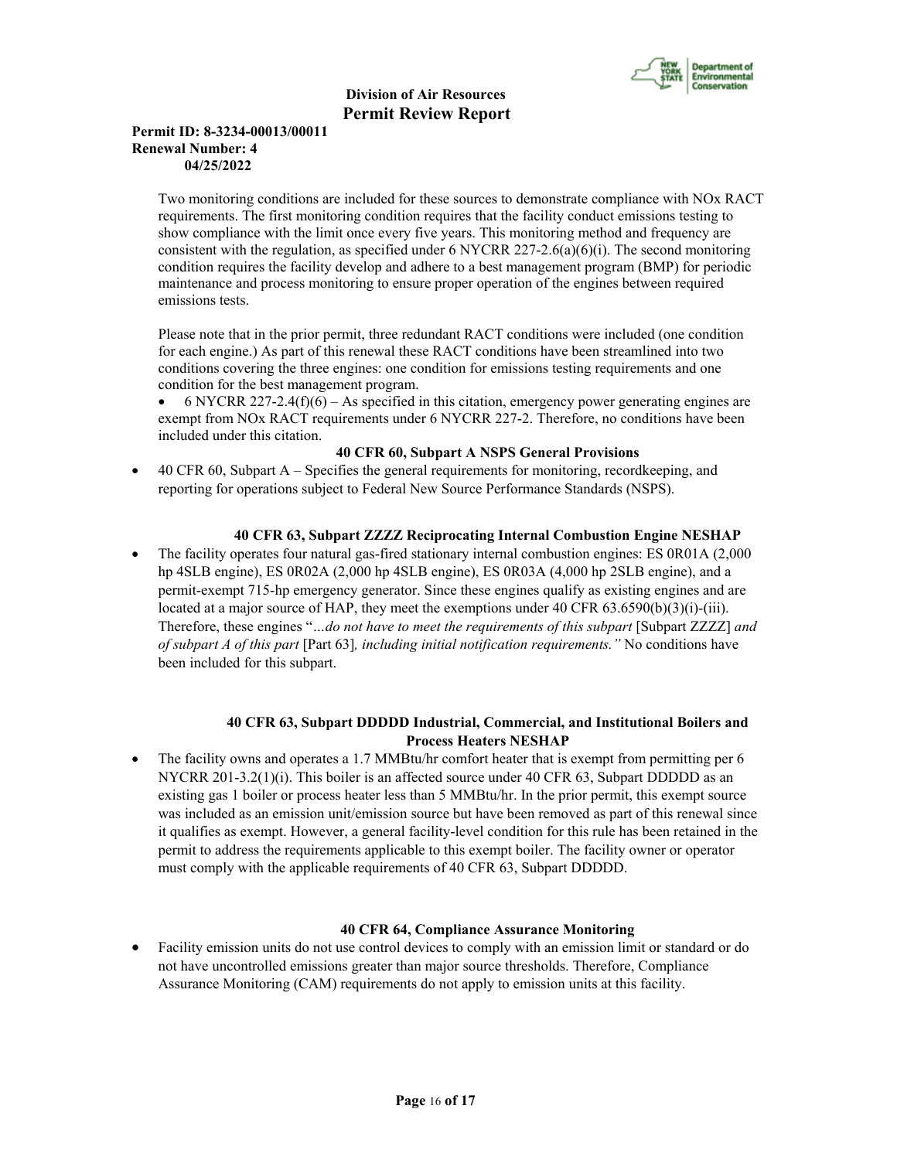

# **Permit ID: 8-3234-00013/00011 Renewal Number: 4 04/25/2022**

Two monitoring conditions are included for these sources to demonstrate compliance with NOx RACT requirements. The first monitoring condition requires that the facility conduct emissions testing to show compliance with the limit once every five years. This monitoring method and frequency are consistent with the regulation, as specified under 6 NYCRR 227-2.6(a)(6)(i). The second monitoring condition requires the facility develop and adhere to a best management program (BMP) for periodic maintenance and process monitoring to ensure proper operation of the engines between required emissions tests.

Please note that in the prior permit, three redundant RACT conditions were included (one condition for each engine.) As part of this renewal these RACT conditions have been streamlined into two conditions covering the three engines: one condition for emissions testing requirements and one condition for the best management program.

6 NYCRR 227-2.4(f)(6) – As specified in this citation, emergency power generating engines are exempt from NOx RACT requirements under 6 NYCRR 227-2. Therefore, no conditions have been included under this citation.

# **40 CFR 60, Subpart A NSPS General Provisions**

 40 CFR 60, Subpart A – Specifies the general requirements for monitoring, recordkeeping, and reporting for operations subject to Federal New Source Performance Standards (NSPS).

# **40 CFR 63, Subpart ZZZZ Reciprocating Internal Combustion Engine NESHAP**

 The facility operates four natural gas-fired stationary internal combustion engines: ES 0R01A (2,000 hp 4SLB engine), ES 0R02A (2,000 hp 4SLB engine), ES 0R03A (4,000 hp 2SLB engine), and a permit-exempt 715-hp emergency generator. Since these engines qualify as existing engines and are located at a major source of HAP, they meet the exemptions under 40 CFR 63.6590(b)(3)(i)-(iii). Therefore, these engines "*…do not have to meet the requirements of this subpart* [Subpart ZZZZ] *and of subpart A of this part* [Part 63]*, including initial notification requirements."* No conditions have been included for this subpart.

# **40 CFR 63, Subpart DDDDD Industrial, Commercial, and Institutional Boilers and Process Heaters NESHAP**

• The facility owns and operates a 1.7 MMBtu/hr comfort heater that is exempt from permitting per 6 NYCRR 201-3.2(1)(i). This boiler is an affected source under 40 CFR 63, Subpart DDDDD as an existing gas 1 boiler or process heater less than 5 MMBtu/hr. In the prior permit, this exempt source was included as an emission unit/emission source but have been removed as part of this renewal since it qualifies as exempt. However, a general facility-level condition for this rule has been retained in the permit to address the requirements applicable to this exempt boiler. The facility owner or operator must comply with the applicable requirements of 40 CFR 63, Subpart DDDDD.

#### **40 CFR 64, Compliance Assurance Monitoring**

 Facility emission units do not use control devices to comply with an emission limit or standard or do not have uncontrolled emissions greater than major source thresholds. Therefore, Compliance Assurance Monitoring (CAM) requirements do not apply to emission units at this facility.